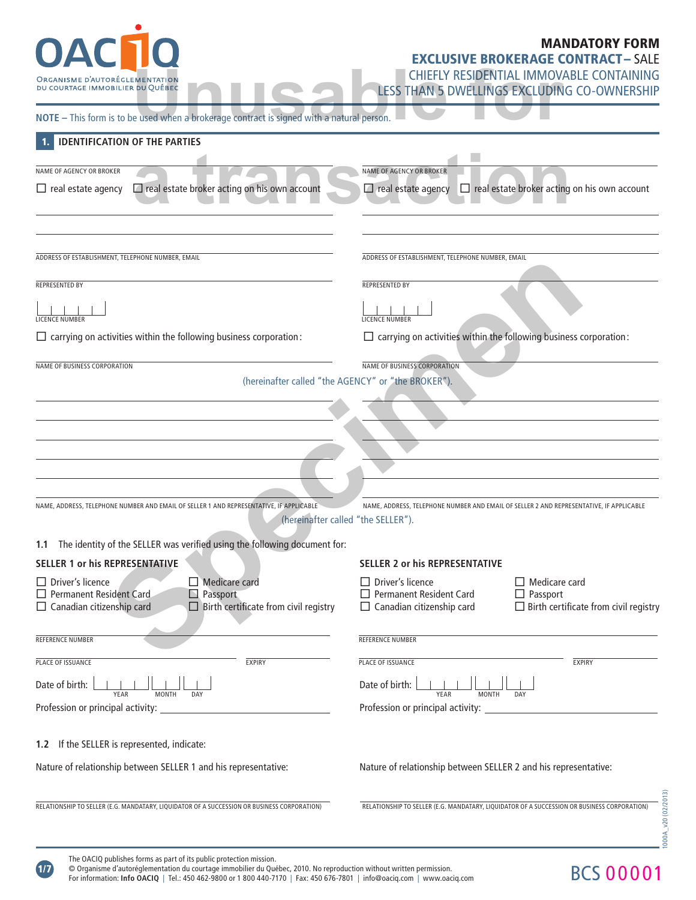| <b>OAC10</b>                                                                                                                                                                                                                          | <b>MANDATORY FORM</b>                                                                                                                                                                    |
|---------------------------------------------------------------------------------------------------------------------------------------------------------------------------------------------------------------------------------------|------------------------------------------------------------------------------------------------------------------------------------------------------------------------------------------|
|                                                                                                                                                                                                                                       | <b>EXCLUSIVE BROKERAGE CONTRACT-SALE</b>                                                                                                                                                 |
| ORGANISME D'AUTORÉGLEMENTATION<br>DU COURTAGE IMMOBILIER DU QUÉBEC                                                                                                                                                                    | CHIEFLY RESIDENTIAL IMMOVABLE CONTAINING<br>LESS THAN 5 DWELLINGS EXCLUDING CO-OWNERSHIP                                                                                                 |
| NOTE - This form is to be used when a brokerage contract is signed with a natural person.                                                                                                                                             |                                                                                                                                                                                          |
| <b>IDENTIFICATION OF THE PARTIES</b>                                                                                                                                                                                                  |                                                                                                                                                                                          |
|                                                                                                                                                                                                                                       |                                                                                                                                                                                          |
| NAME OF AGENCY OR BROKER<br>$\Box$ real estate agency $\Box$ real estate broker acting on his own account                                                                                                                             | <b>NAME OF AGENCY OR BROKER</b><br>$\Box$ real estate agency $\Box$ real estate broker acting on his own account                                                                         |
|                                                                                                                                                                                                                                       |                                                                                                                                                                                          |
| ADDRESS OF ESTABLISHMENT, TELEPHONE NUMBER, EMAIL                                                                                                                                                                                     | ADDRESS OF ESTABLISHMENT, TELEPHONE NUMBER, EMAIL                                                                                                                                        |
| <b>REPRESENTED BY</b>                                                                                                                                                                                                                 | <b>REPRESENTED BY</b>                                                                                                                                                                    |
| LICENCE NUMBER                                                                                                                                                                                                                        | LICENCE NUMBER                                                                                                                                                                           |
| $\Box$ carrying on activities within the following business corporation:                                                                                                                                                              | $\Box$ carrying on activities within the following business corporation:                                                                                                                 |
|                                                                                                                                                                                                                                       |                                                                                                                                                                                          |
| NAME OF BUSINESS CORPORATION                                                                                                                                                                                                          | <b>NAME OF BUSINESS CORPORATION</b>                                                                                                                                                      |
|                                                                                                                                                                                                                                       | (hereinafter called "the AGENCY" or "the BROKER").                                                                                                                                       |
|                                                                                                                                                                                                                                       |                                                                                                                                                                                          |
|                                                                                                                                                                                                                                       |                                                                                                                                                                                          |
|                                                                                                                                                                                                                                       |                                                                                                                                                                                          |
|                                                                                                                                                                                                                                       |                                                                                                                                                                                          |
|                                                                                                                                                                                                                                       | NAME, ADDRESS, TELEPHONE NUMBER AND EMAIL OF SELLER 2 AND REPRESENTATIVE, IF APPLICABLE<br>(hereinafter called "the SELLER").                                                            |
|                                                                                                                                                                                                                                       |                                                                                                                                                                                          |
|                                                                                                                                                                                                                                       | <b>SELLER 2 or his REPRESENTATIVE</b>                                                                                                                                                    |
| $\Box$ Driver's licence<br>$\Box$ Medicare card<br>$\Box$ Permanent Resident Card<br>$\Box$ Passport<br>$\Box$ Canadian citizenship card<br>$\Box$ Birth certificate from civil registry                                              | $\Box$ Driver's licence<br>$\Box$ Medicare card<br>$\Box$ Permanent Resident Card<br>$\Box$ Passport<br>$\Box$ Canadian citizenship card<br>$\Box$ Birth certificate from civil registry |
| NAME, ADDRESS, TELEPHONE NUMBER AND EMAIL OF SELLER 1 AND REPRESENTATIVE, IF APPLICABLE<br>1.1 The identity of the SELLER was verified using the following document for:<br><b>SELLER 1 or his REPRESENTATIVE</b><br>REFERENCE NUMBER | REFERENCE NUMBER                                                                                                                                                                         |
| PLACE OF ISSUANCE<br><b>EXPIRY</b>                                                                                                                                                                                                    | PLACE OF ISSUANCE<br><b>EXPIRY</b>                                                                                                                                                       |

Profession or principal activity: Profession or principal activity:

RELATIONSHIP TO SELLER (E.G. MANDATARY, LIQUIDATOR OF A SUCCESSION OR BUSINESS CORPORATION) RELATIONSHIP TO SELLER (E.G. MANDATARY, LIQUIDATOR OF A SUCCESSION OR BUSINESS CORPORATION)

Nature of relationship between SELLER 1 and his representative: Nature of relationship between SELLER 2 and his representative:

1000A\_v20 (02/2013) 1000A\_v20 (02/2013)

**1.2** If the SELLER is represented, indicate:

© Organisme d'autoréglementation du courtage immobilier du Québec, 2010. No reproduction without written permission. For information: **Info OACIQ** | Tel.: 450 462-9800 or 1 800 440-7170 | Fax: 450 676-7801 | info@oaciq.com | www.oaciq.com

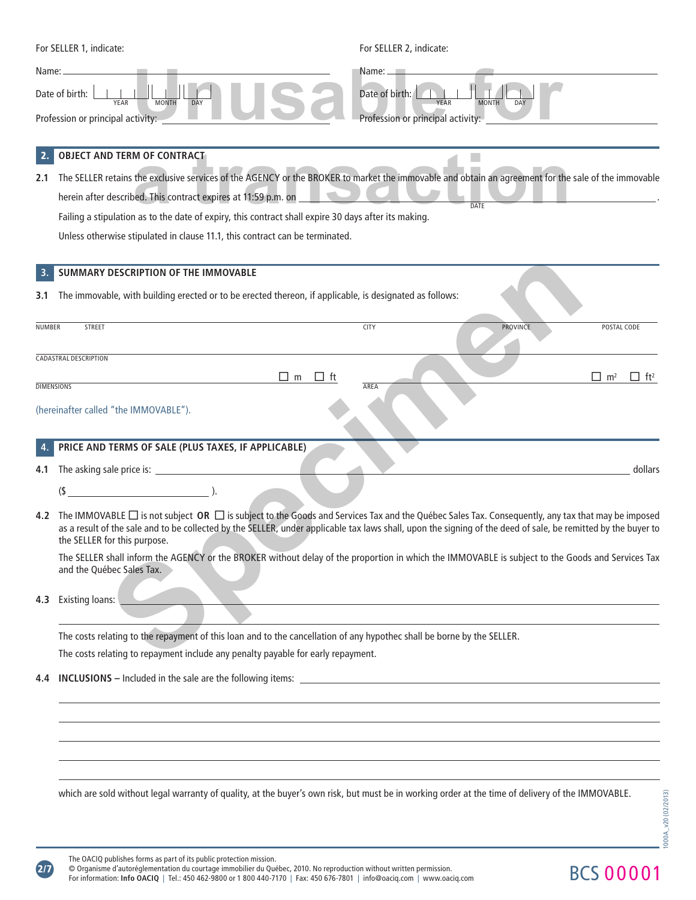| Name: _   | For SELLER 1, indicate:<br>For SELLER 2, indicate:<br><b>STATE OF BUILDING</b><br>$Name: \_\_$<br>Date of birth:<br>Date of birth:<br>YEAR<br><b>MONTH</b><br>DAY<br><b>YEAR</b><br><b>MONTH</b><br><b>DAY</b><br>Profession or principal activity:<br>Profession or principal activity:                                                                                                                                                                                                                                               |
|-----------|----------------------------------------------------------------------------------------------------------------------------------------------------------------------------------------------------------------------------------------------------------------------------------------------------------------------------------------------------------------------------------------------------------------------------------------------------------------------------------------------------------------------------------------|
| 2.<br>2.1 | <b>OBJECT AND TERM OF CONTRACT</b><br>The SELLER retains the exclusive services of the AGENCY or the BROKER to market the immovable and obtain an agreement for the sale of the immovable<br>herein after described. This contract expires at 11:59 p.m. on __<br><b>DATE</b><br>Failing a stipulation as to the date of expiry, this contract shall expire 30 days after its making.<br>Unless otherwise stipulated in clause 11.1, this contract can be terminated.                                                                  |
| 3.        | SUMMARY DESCRIPTION OF THE IMMOVABLE                                                                                                                                                                                                                                                                                                                                                                                                                                                                                                   |
| 3.1       | The immovable, with building erected or to be erected thereon, if applicable, is designated as follows:                                                                                                                                                                                                                                                                                                                                                                                                                                |
| NUMBER    | <b>CITY</b><br><b>PROVINCE</b><br>STREET<br>POSTAL CODE                                                                                                                                                                                                                                                                                                                                                                                                                                                                                |
|           | <b>CADASTRAL DESCRIPTION</b><br>$\Box$ m <sup>2</sup><br>$\Box$ m<br>$\Box$ ft<br>$\Box$ ft <sup>2</sup><br><b>DIMENSIONS</b><br>AREA<br>(hereinafter called "the IMMOVABLE").                                                                                                                                                                                                                                                                                                                                                         |
|           | PRICE AND TERMS OF SALE (PLUS TAXES, IF APPLICABLE)                                                                                                                                                                                                                                                                                                                                                                                                                                                                                    |
| 4.1       | dollars                                                                                                                                                                                                                                                                                                                                                                                                                                                                                                                                |
|           | $($ \$ $\qquad \qquad$ $\qquad \qquad$ $\qquad$ $\qquad$ $\qquad$ $\qquad$ $\qquad$ $\qquad$ $\qquad$ $\qquad$ $\qquad$ $\qquad$ $\qquad$ $\qquad$ $\qquad$ $\qquad$ $\qquad$ $\qquad$ $\qquad$ $\qquad$ $\qquad$ $\qquad$ $\qquad$ $\qquad$ $\qquad$ $\qquad$ $\qquad$ $\qquad$ $\qquad$ $\qquad$ $\qquad$ $\qquad$ $\qquad$ $\qquad$ $\qquad$                                                                                                                                                                                        |
|           | 4.2 The IMMOVABLE □ is not subject OR □ is subject to the Goods and Services Tax and the Québec Sales Tax. Consequently, any tax that may be imposed<br>as a result of the sale and to be collected by the SELLER, under applicable tax laws shall, upon the signing of the deed of sale, be remitted by the buyer to<br>the SELLER for this purpose.<br>The SELLER shall inform the AGENCY or the BROKER without delay of the proportion in which the IMMOVABLE is subject to the Goods and Services Tax<br>and the Québec Sales Tax. |
| 4.3       | Existing loans:<br><u> 1989 - Johann Stoff, deutscher Stoff, der Stoff, der Stoff, der Stoff, der Stoff, der Stoff, der Stoff, der S</u>                                                                                                                                                                                                                                                                                                                                                                                               |
|           | The costs relating to the repayment of this loan and to the cancellation of any hypothec shall be borne by the SELLER.                                                                                                                                                                                                                                                                                                                                                                                                                 |
|           | The costs relating to repayment include any penalty payable for early repayment.                                                                                                                                                                                                                                                                                                                                                                                                                                                       |
| 4.4       |                                                                                                                                                                                                                                                                                                                                                                                                                                                                                                                                        |
|           |                                                                                                                                                                                                                                                                                                                                                                                                                                                                                                                                        |

which are sold without legal warranty of quality, at the buyer's own risk, but must be in working order at the time of delivery of the IMMOVABLE.

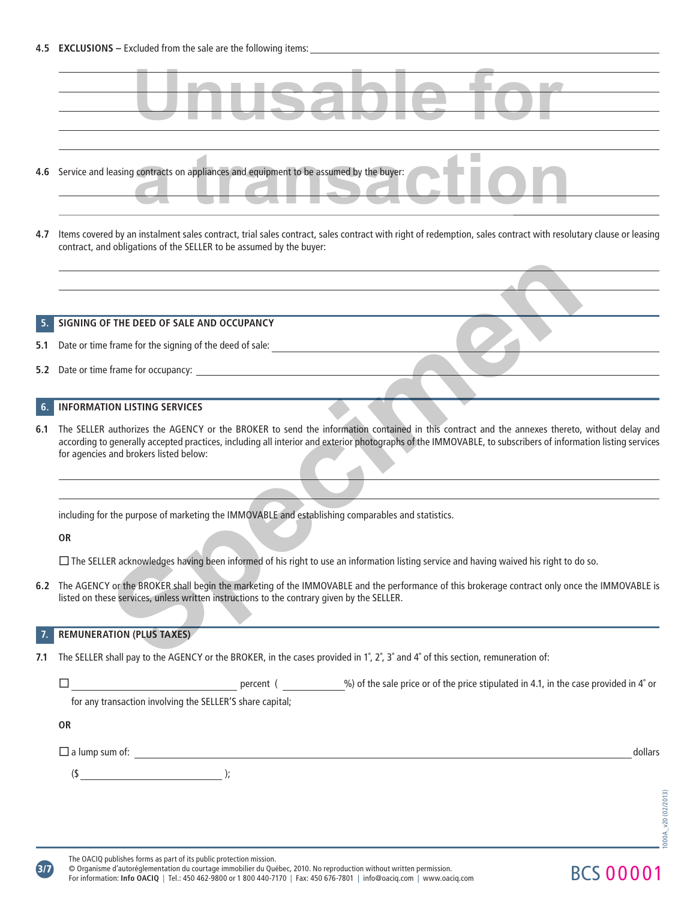

**3/7**

© Organisme d'autoréglementation du courtage immobilier du Québec, 2010. No reproduction without written permission. For information: **Info OACIQ** | Tel.: 450 462-9800 or 1 800 440-7170 | Fax: 450 676-7801 | info@oaciq.com | www.oaciq.com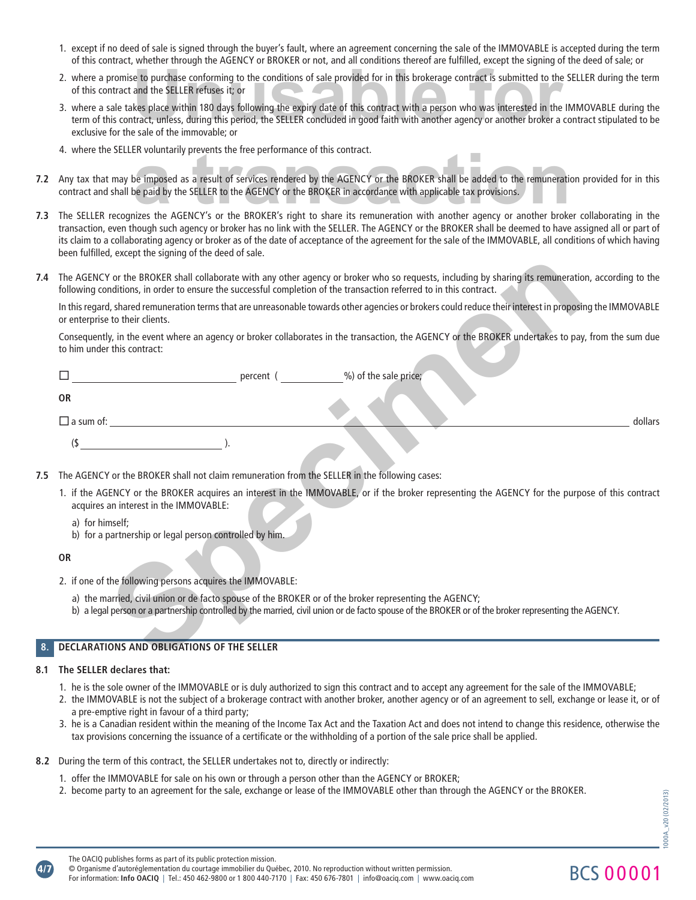- 1. except if no deed of sale is signed through the buyer's fault, where an agreement concerning the sale of the IMMOVABLE is accepted during the term of this contract, whether through the AGENCY or BROKER or not, and all conditions thereof are fulfi lled, except the signing of the deed of sale; or
- 2. where a promise to purchase conforming to the conditions of sale provided for in this brokerage contract is submitted to the SELLER during the term of this contract and the SELLER refuses it; or
- 3. where a sale takes place within 180 days following the expiry date of this contract with a person who was interested in the IMMOVABLE during the term of this contract, unless, during this period, the SELLER concluded in good faith with another agency or another broker a contract stipulated to be exclusive for the sale of the immovable; or Whener allocals are visited to bitchch or net, and all continuous incredible failing, except the signing of the<br>
e to purchase conforming to the conditions of sale provided for in this brokerage contract is submitted to th
- 4. where the SELLER voluntarily prevents the free performance of this contract.
- **7.2** Any tax that may be imposed as a result of services rendered by the AGENCY or the BROKER shall be added to the remuneration provided for in this contract and shall be paid by the SELLER to the AGENCY or the BROKER in accordance with applicable tax provisions. ER voluntarily prevents the tree performance of this contract.<br>De imposed as a result of services rendered by the AGENCY or the BROKER shall be added to the remuneration<br>De paid by the SELLER to the AGENCY or the BROKER in
- **7.3** The SELLER recognizes the AGENCY's or the BROKER's right to share its remuneration with another agency or another broker collaborating in the transaction, even though such agency or broker has no link with the SELLER. The AGENCY or the BROKER shall be deemed to have assigned all or part of its claim to a collaborating agency or broker as of the date of acceptance of the agreement for the sale of the IMMOVABLE, all conditions of which having been fulfilled, except the signing of the deed of sale.
- **7.4** The AGENCY or the BROKER shall collaborate with any other agency or broker who so requests, including by sharing its remuneration, according to the following conditions, in order to ensure the successful completion of the transaction referred to in this contract.

| 7.4 | The AGENCY or the BROKER shall collaborate with any other agency or broker who so requests, including by sharing its remuneration, according to the<br>following conditions, in order to ensure the successful completion of the transaction referred to in this contract. |
|-----|----------------------------------------------------------------------------------------------------------------------------------------------------------------------------------------------------------------------------------------------------------------------------|
|     | In this regard, shared remuneration terms that are unreasonable towards other agencies or brokers could reduce their interest in proposing the IMMOVABLE<br>or enterprise to their clients.                                                                                |
|     | Consequently, in the event where an agency or broker collaborates in the transaction, the AGENCY or the BROKER undertakes to pay, from the sum due<br>to him under this contract:                                                                                          |
|     | %) of the sale price;<br><b>Example 2</b> Percent (                                                                                                                                                                                                                        |
|     | <b>OR</b>                                                                                                                                                                                                                                                                  |
|     | $\Box$ a sum of: $\Box$<br>dollars                                                                                                                                                                                                                                         |
|     | (\$                                                                                                                                                                                                                                                                        |
| 7.5 | The AGENCY or the BROKER shall not claim remuneration from the SELLER in the following cases:                                                                                                                                                                              |
|     | 1. if the AGENCY or the BROKER acquires an interest in the IMMOVABLE, or if the broker representing the AGENCY for the purpose of this contract<br>acquires an interest in the IMMOVABLE:                                                                                  |
|     | a) for himself;<br>b) for a partnership or legal person controlled by him.                                                                                                                                                                                                 |
|     | <b>OR</b>                                                                                                                                                                                                                                                                  |
|     | 2. if one of the following persons acquires the IMMOVABLE:                                                                                                                                                                                                                 |
|     | a) the married, civil union or de facto spouse of the BROKER or of the broker representing the AGENCY;<br>b) a legal person or a partnership controlled by the married, civil union or de facto spouse of the BROKER or of the broker representing the AGENCY.             |
|     | DECLARATIONS AND OBLIGATIONS OF THE SELLER                                                                                                                                                                                                                                 |
|     |                                                                                                                                                                                                                                                                            |

- **7.5** The AGENCY or the BROKER shall not claim remuneration from the SELLER in the following cases:
	- 1. if the AGENCY or the BROKER acquires an interest in the IMMOVABLE, or if the broker representing the AGENCY for the purpose of this contract acquires an interest in the IMMOVABLE:
		- a) for himself;
		- b) for a partnership or legal person controlled by him.

#### **OR**

**4/7**

- 2. if one of the following persons acquires the IMMOVABLE:
	- a) the married, civil union or de facto spouse of the BROKER or of the broker representing the AGENCY;
	- b) a legal person or a partnership controlled by the married, civil union or de facto spouse of the BROKER or of the broker representing the AGENCY.

#### **8. DECLARATIONS AND OBLIGATIONS OF THE SELLER**

#### **8.1 The SELLER declares that:**

- 1. he is the sole owner of the IMMOVABLE or is duly authorized to sign this contract and to accept any agreement for the sale of the IMMOVABLE;
- 2. the IMMOVABLE is not the subject of a brokerage contract with another broker, another agency or of an agreement to sell, exchange or lease it, or of a pre-emptive right in favour of a third party;
- 3. he is a Canadian resident within the meaning of the Income Tax Act and the Taxation Act and does not intend to change this residence, otherwise the tax provisions concerning the issuance of a certificate or the withholding of a portion of the sale price shall be applied.
- **8.2** During the term of this contract, the SELLER undertakes not to, directly or indirectly:
	- 1. offer the IMMOVABLE for sale on his own or through a person other than the AGENCY or BROKER;
	- 2. become party to an agreement for the sale, exchange or lease of the IMMOVABLE other than through the AGENCY or the BROKER.

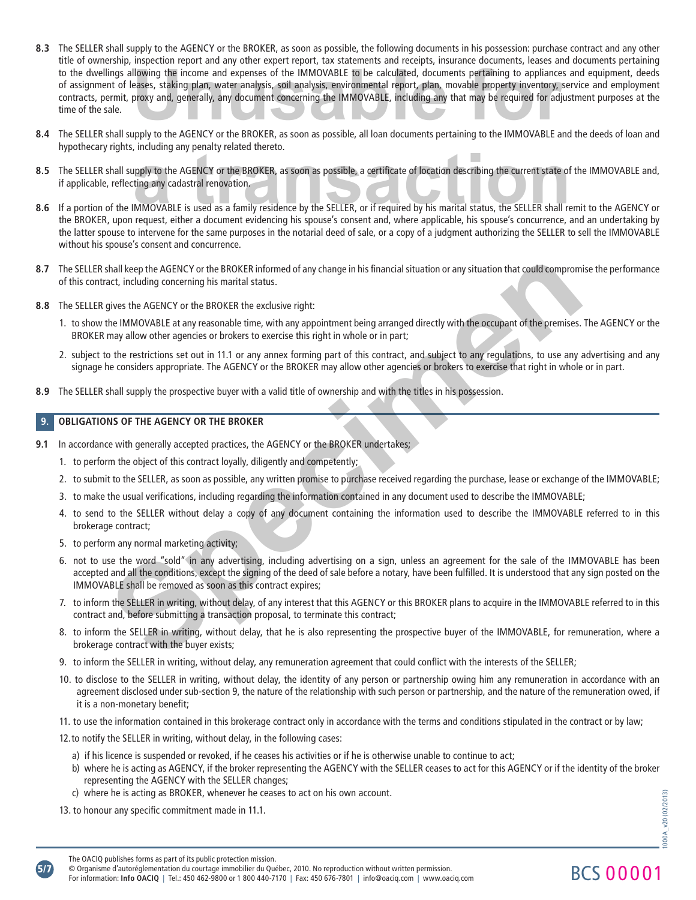- **8.3** The SELLER shall supply to the AGENCY or the BROKER, as soon as possible, the following documents in his possession: purchase contract and any other title of ownership, inspection report and any other expert report, tax statements and receipts, insurance documents, leases and documents pertaining the dwellings allowing the income and expenses of the IMMOVABLE to be calculated, documents pertaining to appliances and equipment, deeds<br>of assignment of leases, staking plan, water analysis, soil analysis, environmental of assignment of leases, staking plan, water analysis, soil analysis, environmental report, plan, movable property inventory, service and employment contracts, permit, proxy and, generally, any document concerning the IMMOVABLE, including any that may be required for adjustment purposes at the time of the sale.
- **8.4** The SELLER shall supply to the AGENCY or the BROKER, as soon as possible, all loan documents pertaining to the IMMOVABLE and the deeds of loan and hypothecary rights, including any penalty related thereto.
- 8.5 The SELLER shall supply to the AGENCY or the BROKER, as soon as possible, a certificate of location describing the current state of the IMMOVABLE and, if applicable, reflecting any cadastral renovation. mediantly related thereo.<br>
upply to the AGENCY or the BROKER, as soon as possible, a certificate of location describing the current state of<br>
ima any cadastral renovation.<br>
MMOVABLE is used as a family residence by the SEL
- **8.6** If a portion of the IMMOVABLE is used as a family residence by the SELLER, or if required by his marital status, the SELLER shall remit to the AGENCY or the BROKER, upon request, either a document evidencing his spouse's consent and, where applicable, his spouse's concurrence, and an undertaking by the latter spouse to intervene for the same purposes in the notarial deed of sale, or a copy of a judgment authorizing the SELLER to sell the IMMOVABLE without his spouse's consent and concurrence.
- 8.7 The SELLER shall keep the AGENCY or the BROKER informed of any change in his financial situation or any situation that could compromise the performance of this contract, including concerning his marital status.
- **8.8** The SELLER gives the AGENCY or the BROKER the exclusive right:
	- 1. to show the IMMOVABLE at any reasonable time, with any appointment being arranged directly with the occupant of the premises. The AGENCY or the BROKER may allow other agencies or brokers to exercise this right in whole or in part;
	- 2. subject to the restrictions set out in 11.1 or any annex forming part of this contract, and subject to any regulations, to use any advertising and any signage he considers appropriate. The AGENCY or the BROKER may allow other agencies or brokers to exercise that right in whole or in part.
- **8.9** The SELLER shall supply the prospective buyer with a valid title of ownership and with the titles in his possession.

## **9. OBLIGATIONS OF THE AGENCY OR THE BROKER**

- **9.1** In accordance with generally accepted practices, the AGENCY or the BROKER undertakes;
	- 1. to perform the object of this contract loyally, diligently and competently;
	- 2. to submit to the SELLER, as soon as possible, any written promise to purchase received regarding the purchase, lease or exchange of the IMMOVABLE;
	- 3. to make the usual verifications, including regarding the information contained in any document used to describe the IMMOVABLE;
	- 4. to send to the SELLER without delay a copy of any document containing the information used to describe the IMMOVABLE referred to in this brokerage contract;
	- 5. to perform any normal marketing activity;
- 6. not to use the word "sold" in any advertising, including advertising on a sign, unless an agreement for the sale of the IMMOVABLE has been accepted and all the conditions, except the signing of the deed of sale before a notary, have been fulfilled. It is understood that any sign posted on the IMMOVABLE shall be removed as soon as this contract expires; shall keep the AGENCY or the BROKER informed of any change in his financial situation or any situation that co**uld compromerate**<br>cot, including concerning his martial status.<br>The presente AGENCY or the BROKER informed of a
	- 7. to inform the SELLER in writing, without delay, of any interest that this AGENCY or this BROKER plans to acquire in the IMMOVABLE referred to in this contract and, before submitting a transaction proposal, to terminate this contract;
	- 8. to inform the SELLER in writing, without delay, that he is also representing the prospective buyer of the IMMOVABLE, for remuneration, where a brokerage contract with the buyer exists;
	- 9. to inform the SELLER in writing, without delay, any remuneration agreement that could conflict with the interests of the SELLER;
	- 10. to disclose to the SELLER in writing, without delay, the identity of any person or partnership owing him any remuneration in accordance with an agreement disclosed under sub-section 9, the nature of the relationship with such person or partnership, and the nature of the remuneration owed, if it is a non-monetary benefit;
	- 11. to use the information contained in this brokerage contract only in accordance with the terms and conditions stipulated in the contract or by law;

12. to notify the SELLER in writing, without delay, in the following cases:

- a) if his licence is suspended or revoked, if he ceases his activities or if he is otherwise unable to continue to act;
- b) where he is acting as AGENCY, if the broker representing the AGENCY with the SELLER ceases to act for this AGENCY or if the identity of the broker representing the AGENCY with the SELLER changes;
- c) where he is acting as BROKER, whenever he ceases to act on his own account.

13. to honour any specific commitment made in 11.1.

BCS 00001

**5/7** For information: **Info OACIQ** | Tel.: 450 462-9800 or 1 800 440-7170 | Fax: 450 676-7801 | info@oaciq.com | www.oaciq.com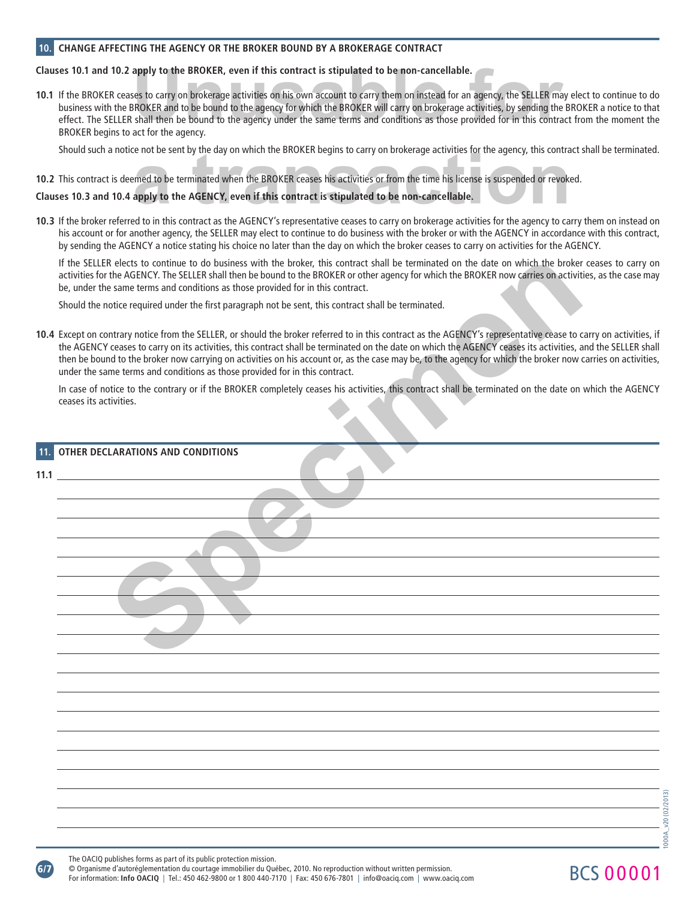## **10. CHANGE AFFECTING THE AGENCY OR THE BROKER BOUND BY A BROKERAGE CONTRACT**

## **Clauses 10.1 and 10.2 apply to the BROKER, even if this contract is stipulated to be non-cancellable.**

**10.1** If the BROKER ceases to carry on brokerage activities on his own account to carry them on instead for an agency, the SELLER may elect to continue to do business with the BROKER and to be bound to the agency for which the BROKER will carry on brokerage activities, by sending the BROKER a notice to that effect. The SELLER shall then be bound to the agency under the same terms and conditions as those provided for in this contract from the moment the BROKER begins to act for the agency. apply to the BROKER, even if this contract is stipulated to be non-cancellable.<br>Ses to carry on brokerage activities on his own account to carry them on instead for an agency, the SELLER may ele<br>BROKER and to be bound to t

Should such a notice not be sent by the day on which the BROKER begins to carry on brokerage activities for the agency, this contract shall be terminated.

# **10.2** This contract is deemed to be terminated when the BROKER ceases his activities or from the time his license is suspended or revoked. e not be sent by the day on which the BROKER begins to carry on brokerage activities for the agency, this contra<br>a transfer of the agency, this contraction and the BROKER ceases his activities or from the time his license

# **Clauses 10.3 and 10.4 apply to the AGENCY, even if this contract is stipulated to be non-cancellable.**

**10.3** If the broker referred to in this contract as the AGENCY's representative ceases to carry on brokerage activities for the agency to carry them on instead on his account or for another agency, the SELLER may elect to continue to do business with the broker or with the AGENCY in accordance with this contract, by sending the AGENCY a notice stating his choice no later than the day on which the broker ceases to carry on activities for the AGENCY.

|     | If the SELLER elects to continue to do business with the broker, this contract shall be terminated on the date on which the broker ceases to carry on<br>activities for the AGENCY. The SELLER shall then be bound to the BROKER or other agency for which the BROKER now carries on activities, as the case may<br>be, under the same terms and conditions as those provided for in this contract.                                                                                                                                                                            |
|-----|--------------------------------------------------------------------------------------------------------------------------------------------------------------------------------------------------------------------------------------------------------------------------------------------------------------------------------------------------------------------------------------------------------------------------------------------------------------------------------------------------------------------------------------------------------------------------------|
|     | Should the notice required under the first paragraph not be sent, this contract shall be terminated.                                                                                                                                                                                                                                                                                                                                                                                                                                                                           |
|     | 10.4 Except on contrary notice from the SELLER, or should the broker referred to in this contract as the AGENCY's representative cease to carry on activities, if<br>the AGENCY ceases to carry on its activities, this contract shall be terminated on the date on which the AGENCY ceases its activities, and the SELLER shall<br>then be bound to the broker now carrying on activities on his account or, as the case may be, to the agency for which the broker now carries on activities,<br>under the same terms and conditions as those provided for in this contract. |
|     | In case of notice to the contrary or if the BROKER completely ceases his activities, this contract shall be terminated on the date on which the AGENCY<br>ceases its activities.                                                                                                                                                                                                                                                                                                                                                                                               |
| 11. | OTHER DECLARATIONS AND CONDITIONS                                                                                                                                                                                                                                                                                                                                                                                                                                                                                                                                              |
|     | <b>11.1</b> <u>and <math>\overline{a}</math></u> and $\overline{a}$ and $\overline{a}$ and $\overline{a}$ and $\overline{a}$ and $\overline{a}$ and $\overline{a}$ and $\overline{a}$ and $\overline{a}$ and $\overline{a}$ and $\overline{a}$ and $\overline{a}$ and $\overline{a}$ and $\overline{a}$ and $\overline{a}$ and $\overline{a}$ and                                                                                                                                                                                                                              |
|     |                                                                                                                                                                                                                                                                                                                                                                                                                                                                                                                                                                                |
|     |                                                                                                                                                                                                                                                                                                                                                                                                                                                                                                                                                                                |
|     |                                                                                                                                                                                                                                                                                                                                                                                                                                                                                                                                                                                |
|     |                                                                                                                                                                                                                                                                                                                                                                                                                                                                                                                                                                                |
|     |                                                                                                                                                                                                                                                                                                                                                                                                                                                                                                                                                                                |
|     |                                                                                                                                                                                                                                                                                                                                                                                                                                                                                                                                                                                |
|     |                                                                                                                                                                                                                                                                                                                                                                                                                                                                                                                                                                                |
|     |                                                                                                                                                                                                                                                                                                                                                                                                                                                                                                                                                                                |
|     |                                                                                                                                                                                                                                                                                                                                                                                                                                                                                                                                                                                |
|     |                                                                                                                                                                                                                                                                                                                                                                                                                                                                                                                                                                                |
|     |                                                                                                                                                                                                                                                                                                                                                                                                                                                                                                                                                                                |
|     |                                                                                                                                                                                                                                                                                                                                                                                                                                                                                                                                                                                |
|     |                                                                                                                                                                                                                                                                                                                                                                                                                                                                                                                                                                                |
|     |                                                                                                                                                                                                                                                                                                                                                                                                                                                                                                                                                                                |
|     |                                                                                                                                                                                                                                                                                                                                                                                                                                                                                                                                                                                |

**6/7**

© Organisme d'autoréglementation du courtage immobilier du Québec, 2010. No reproduction without written permission. For information: **Info OACIQ** | Tel.: 450 462-9800 or 1 800 440-7170 | Fax: 450 676-7801 | info@oaciq.com | www.oaciq.com